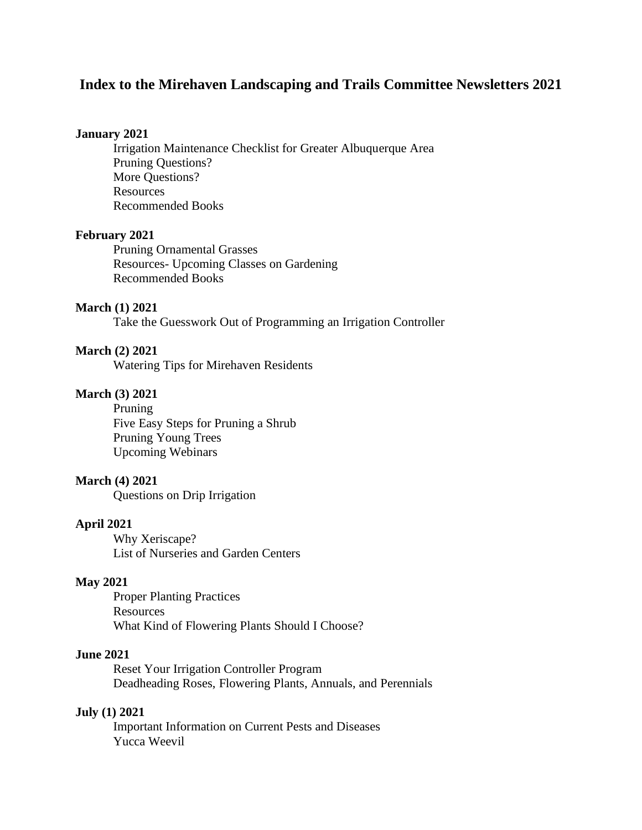# **Index to the Mirehaven Landscaping and Trails Committee Newsletters 2021**

#### **January 2021**

Irrigation Maintenance Checklist for Greater Albuquerque Area Pruning Questions? More Questions? Resources Recommended Books

#### **February 2021**

Pruning Ornamental Grasses Resources- Upcoming Classes on Gardening Recommended Books

#### **March (1) 2021**

Take the Guesswork Out of Programming an Irrigation Controller

#### **March (2) 2021**

Watering Tips for Mirehaven Residents

# **March (3) 2021**

Pruning Five Easy Steps for Pruning a Shrub Pruning Young Trees Upcoming Webinars

#### **March (4) 2021**

Questions on Drip Irrigation

#### **April 2021**

Why Xeriscape? List of Nurseries and Garden Centers

#### **May 2021**

Proper Planting Practices **Resources** What Kind of Flowering Plants Should I Choose?

#### **June 2021**

Reset Your Irrigation Controller Program Deadheading Roses, Flowering Plants, Annuals, and Perennials

#### **July (1) 2021**

Important Information on Current Pests and Diseases Yucca Weevil